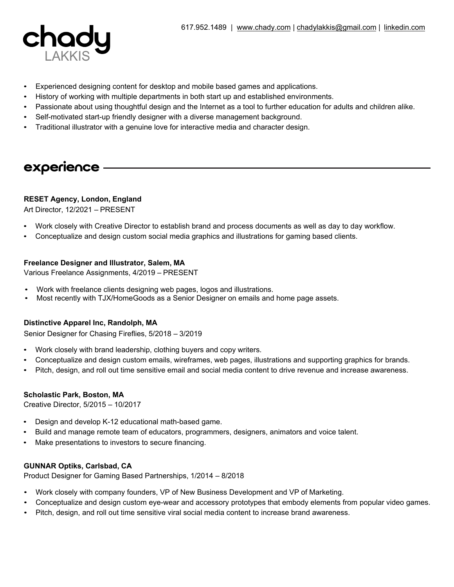

- Experienced designing content for desktop and mobile based games and applications.
- History of working with multiple departments in both start up and established environments.
- Passionate about using thoughtful design and the Internet as a tool to further education for adults and children alike.
- Self-motivated start-up friendly designer with a diverse management background.
- Traditional illustrator with a genuine love for interactive media and character design.

## experience

## **RESET Agency, London, England**

Art Director, 12/2021 – PRESENT

- Work closely with Creative Director to establish brand and process documents as well as day to day workflow.
- Conceptualize and design custom social media graphics and illustrations for gaming based clients.

## **Freelance Designer and Illustrator, Salem, MA**

Various Freelance Assignments, 4/2019 – PRESENT

- Work with freelance clients designing web pages, logos and illustrations.
- Most recently with TJX/HomeGoods as a Senior Designer on emails and home page assets.

## **Distinctive Apparel Inc, Randolph, MA**

Senior Designer for Chasing Fireflies, 5/2018 – 3/2019

- Work closely with brand leadership, clothing buyers and copy writers.
- Conceptualize and design custom emails, wireframes, web pages, illustrations and supporting graphics for brands.
- Pitch, design, and roll out time sensitive email and social media content to drive revenue and increase awareness.

## **Scholastic Park, Boston, MA**

Creative Director, 5/2015 – 10/2017

- Design and develop K-12 educational math-based game.
- Build and manage remote team of educators, programmers, designers, animators and voice talent.
- Make presentations to investors to secure financing.

## **GUNNAR Optiks, Carlsbad, CA**

Product Designer for Gaming Based Partnerships, 1/2014 – 8/2018

- Work closely with company founders, VP of New Business Development and VP of Marketing.
- Conceptualize and design custom eye-wear and accessory prototypes that embody elements from popular video games.
- Pitch, design, and roll out time sensitive viral social media content to increase brand awareness.